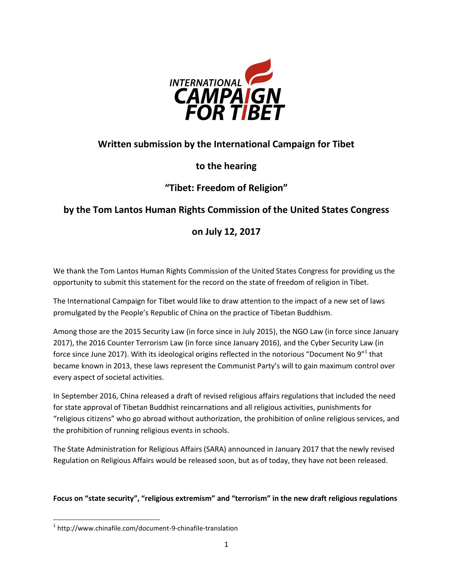

### **Written submission by the International Campaign for Tibet**

#### **to the hearing**

# **"Tibet: Freedom of Religion"**

# **by the Tom Lantos Human Rights Commission of the United States Congress**

# **on July 12, 2017**

We thank the Tom Lantos Human Rights Commission of the United States Congress for providing us the opportunity to submit this statement for the record on the state of freedom of religion in Tibet.

The International Campaign for Tibet would like to draw attention to the impact of a new set of laws promulgated by the People's Republic of China on the practice of Tibetan Buddhism.

Among those are the 2015 Security Law (in force since in July 2015), the NGO Law (in force since January 2017), the 2016 Counter Terrorism Law (in force since January 2016), and the Cyber Security Law (in force since June 2017). With its ideological origins reflected in the notorious "Document No 9"<sup>1</sup> that became known in 2013, these laws represent the Communist Party's will to gain maximum control over every aspect of societal activities.

In September 2016, China released a draft of revised religious affairs regulations that included the need for state approval of Tibetan Buddhist reincarnations and all religious activities, punishments for "religious citizens" who go abroad without authorization, the prohibition of online religious services, and the prohibition of running religious events in schools.

The State Administration for Religious Affairs (SARA) announced in January 2017 that the newly revised Regulation on Religious Affairs would be released soon, but as of today, they have not been released.

#### **Focus on "state security", "religious extremism" and "terrorism" in the new draft religious regulations**

 $\overline{\phantom{a}}$ 1 http://www.chinafile.com/document-9-chinafile-translation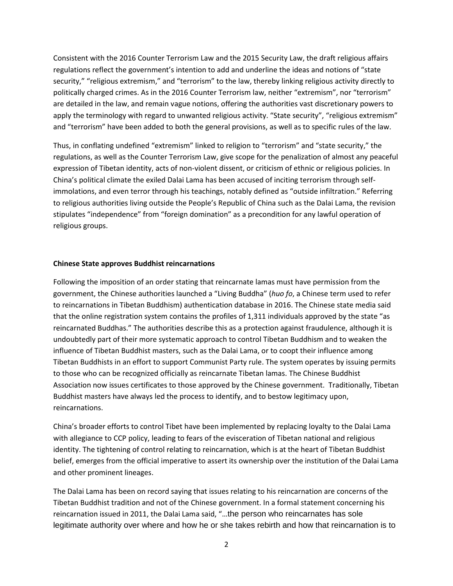Consistent with the 2016 Counter Terrorism Law and the 2015 Security Law, the draft religious affairs regulations reflect the government's intention to add and underline the ideas and notions of "state security," "religious extremism," and "terrorism" to the law, thereby linking religious activity directly to politically charged crimes. As in the 2016 Counter Terrorism law, neither "extremism", nor "terrorism" are detailed in the law, and remain vague notions, offering the authorities vast discretionary powers to apply the terminology with regard to unwanted religious activity. "State security", "religious extremism" and "terrorism" have been added to both the general provisions, as well as to specific rules of the law.

Thus, in conflating undefined "extremism" linked to religion to "terrorism" and "state security," the regulations, as well as the Counter Terrorism Law, give scope for the penalization of almost any peaceful expression of Tibetan identity, acts of non-violent dissent, or criticism of ethnic or religious policies. In China's political climate the exiled Dalai Lama has been accused of inciting terrorism through selfimmolations, and even terror through his teachings, notably defined as "outside infiltration." Referring to religious authorities living outside the People's Republic of China such as the Dalai Lama, the revision stipulates "independence" from "foreign domination" as a precondition for any lawful operation of religious groups.

#### **Chinese State approves Buddhist reincarnations**

Following the imposition of an order stating that reincarnate lamas must have permission from the government, the Chinese authorities launched a "Living Buddha" (*huo fo*, a Chinese term used to refer to reincarnations in Tibetan Buddhism) authentication database in 2016. The Chinese state media said that the online registration system contains the profiles of 1,311 individuals approved by the state "as reincarnated Buddhas." The authorities describe this as a protection against fraudulence, although it is undoubtedly part of their more systematic approach to control Tibetan Buddhism and to weaken the influence of Tibetan Buddhist masters, such as the Dalai Lama, or to coopt their influence among Tibetan Buddhists in an effort to support Communist Party rule. The system operates by issuing permits to those who can be recognized officially as reincarnate Tibetan lamas. The Chinese Buddhist Association now issues certificates to those approved by the Chinese government. Traditionally, Tibetan Buddhist masters have always led the process to identify, and to bestow legitimacy upon, reincarnations.

China's broader efforts to control Tibet have been implemented by replacing loyalty to the Dalai Lama with allegiance to CCP policy, leading to fears of the evisceration of Tibetan national and religious identity. The tightening of control relating to reincarnation, which is at the heart of Tibetan Buddhist belief, emerges from the official imperative to assert its ownership over the institution of the Dalai Lama and other prominent lineages.

The Dalai Lama has been on record saying that issues relating to his reincarnation are concerns of the Tibetan Buddhist tradition and not of the Chinese government. In a formal statement concerning his reincarnation issued in 2011, the Dalai Lama said, "…the person who reincarnates has sole legitimate authority over where and how he or she takes rebirth and how that reincarnation is to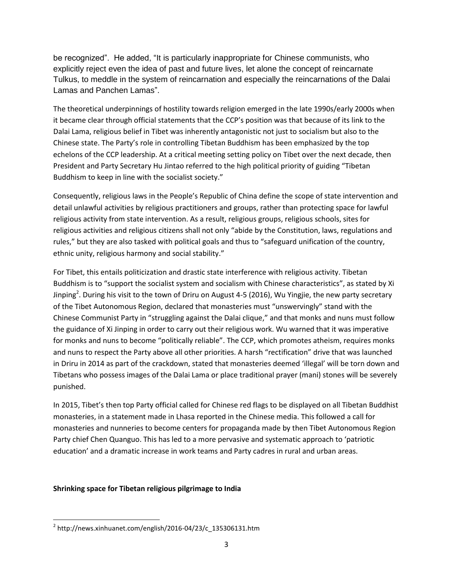be recognized". He added, "It is particularly inappropriate for Chinese communists, who explicitly reject even the idea of past and future lives, let alone the concept of reincarnate Tulkus, to meddle in the system of reincarnation and especially the reincarnations of the Dalai Lamas and Panchen Lamas".

The theoretical underpinnings of hostility towards religion emerged in the late 1990s/early 2000s when it became clear through official statements that the CCP's position was that because of its link to the Dalai Lama, religious belief in Tibet was inherently antagonistic not just to socialism but also to the Chinese state. The Party's role in controlling Tibetan Buddhism has been emphasized by the top echelons of the CCP leadership. At a critical meeting setting policy on Tibet over the next decade, then President and Party Secretary Hu Jintao referred to the high political priority of guiding "Tibetan Buddhism to keep in line with the socialist society."

Consequently, religious laws in the People's Republic of China define the scope of state intervention and detail unlawful activities by religious practitioners and groups, rather than protecting space for lawful religious activity from state intervention. As a result, religious groups, religious schools, sites for religious activities and religious citizens shall not only "abide by the Constitution, laws, regulations and rules," but they are also tasked with political goals and thus to "safeguard unification of the country, ethnic unity, religious harmony and social stability."

For Tibet, this entails politicization and drastic state interference with religious activity. Tibetan Buddhism is to "support the socialist system and socialism with Chinese characteristics", as stated by Xi Jinping<sup>2</sup>. During his visit to the town of Driru on August 4-5 (2016), Wu Yingjie, the new party secretary of the Tibet Autonomous Region, declared that monasteries must "unswervingly" stand with the Chinese Communist Party in "struggling against the Dalai clique," and that monks and nuns must follow the guidance of Xi Jinping in order to carry out their religious work. Wu warned that it was imperative for monks and nuns to become "politically reliable". The CCP, which promotes atheism, requires monks and nuns to respect the Party above all other priorities. A harsh "rectification" drive that was launched in Driru in 2014 as part of the crackdown, stated that monasteries deemed 'illegal' will be torn down and Tibetans who possess images of the Dalai Lama or place traditional prayer (mani) stones will be severely punished.

In 2015, Tibet's then top Party official called for Chinese red flags to be displayed on all Tibetan Buddhist monasteries, in a statement made in Lhasa reported in the Chinese media. This followed a call for monasteries and nunneries to become centers for propaganda made by then Tibet Autonomous Region Party chief Chen Quanguo. This has led to a more pervasive and systematic approach to 'patriotic education' and a dramatic increase in work teams and Party cadres in rural and urban areas.

#### **Shrinking space for Tibetan religious pilgrimage to India**

 $\overline{\phantom{a}}$  $^2$  http://news.xinhuanet.com/english/2016-04/23/c\_135306131.htm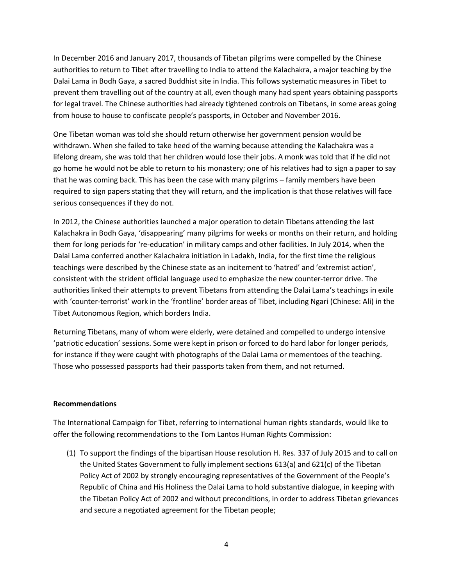In December 2016 and January 2017, thousands of Tibetan pilgrims were compelled by the Chinese authorities to return to Tibet after travelling to India to attend the Kalachakra, a major teaching by the Dalai Lama in Bodh Gaya, a sacred Buddhist site in India. This follows systematic measures in Tibet to prevent them travelling out of the country at all, even though many had spent years obtaining passports for legal travel. The Chinese authorities had already tightened controls on Tibetans, in some areas going from house to house to confiscate people's passports, in October and November 2016.

One Tibetan woman was told she should return otherwise her government pension would be withdrawn. When she failed to take heed of the warning because attending the Kalachakra was a lifelong dream, she was told that her children would lose their jobs. A monk was told that if he did not go home he would not be able to return to his monastery; one of his relatives had to sign a paper to say that he was coming back. This has been the case with many pilgrims – family members have been required to sign papers stating that they will return, and the implication is that those relatives will face serious consequences if they do not.

In 2012, the Chinese authorities launched a major operation to detain Tibetans attending the last Kalachakra in Bodh Gaya, 'disappearing' many pilgrims for weeks or months on their return, and holding them for long periods for 're-education' in military camps and other facilities. In July 2014, when the Dalai Lama conferred another Kalachakra initiation in Ladakh, India, for the first time the religious teachings were described by the Chinese state as an incitement to 'hatred' and 'extremist action', consistent with the strident official language used to emphasize the new counter-terror drive. The authorities linked their attempts to prevent Tibetans from attending the Dalai Lama's teachings in exile with 'counter-terrorist' work in the 'frontline' border areas of Tibet, including Ngari (Chinese: Ali) in the Tibet Autonomous Region, which borders India.

Returning Tibetans, many of whom were elderly, were detained and compelled to undergo intensive 'patriotic education' sessions. Some were kept in prison or forced to do hard labor for longer periods, for instance if they were caught with photographs of the Dalai Lama or mementoes of the teaching. Those who possessed passports had their passports taken from them, and not returned.

#### **Recommendations**

The International Campaign for Tibet, referring to international human rights standards, would like to offer the following recommendations to the Tom Lantos Human Rights Commission:

(1) To support the findings of the bipartisan House resolution H. Res. 337 of July 2015 and to call on the United States Government to fully implement sections 613(a) and 621(c) of the Tibetan Policy Act of 2002 by strongly encouraging representatives of the Government of the People's Republic of China and His Holiness the Dalai Lama to hold substantive dialogue, in keeping with the Tibetan Policy Act of 2002 and without preconditions, in order to address Tibetan grievances and secure a negotiated agreement for the Tibetan people;